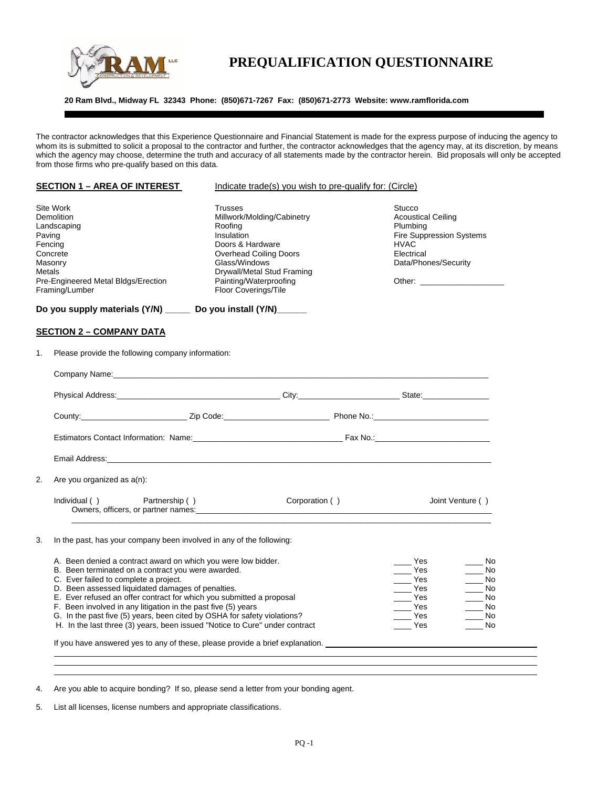

## **PREQUALIFICATION QUESTIONNAIRE**

**20 Ram Blvd., Midway FL 32343 Phone: (850)671-7267 Fax: (850)671-2773 Website: www.ramflorida.com** 

The contractor acknowledges that this Experience Questionnaire and Financial Statement is made for the express purpose of inducing the agency to whom its is submitted to solicit a proposal to the contractor and further, the contractor acknowledges that the agency may, at its discretion, by means which the agency may choose, determine the truth and accuracy of all statements made by the contractor herein. Bid proposals will only be accepted from those firms who pre-qualify based on this data.

|                             | <b>SECTION 1 – AREA OF INTEREST</b>                                                                                                                                                                                                                                                                                                                                                                                                                                                                                                                                                                                                     | Indicate trade(s) you wish to pre-qualify for: (Circle)                                                                                                                                                                     |                                                                                                                                                                                                                 |  |  |
|-----------------------------|-----------------------------------------------------------------------------------------------------------------------------------------------------------------------------------------------------------------------------------------------------------------------------------------------------------------------------------------------------------------------------------------------------------------------------------------------------------------------------------------------------------------------------------------------------------------------------------------------------------------------------------------|-----------------------------------------------------------------------------------------------------------------------------------------------------------------------------------------------------------------------------|-----------------------------------------------------------------------------------------------------------------------------------------------------------------------------------------------------------------|--|--|
| Paving<br>Fencing<br>Metals | Site Work<br>Demolition<br>Landscaping<br>Concrete<br>Masonry<br>Pre-Engineered Metal Bldgs/Erection<br>Framing/Lumber                                                                                                                                                                                                                                                                                                                                                                                                                                                                                                                  | <b>Trusses</b><br>Millwork/Molding/Cabinetry<br>Roofing<br>Insulation<br>Doors & Hardware<br><b>Overhead Coiling Doors</b><br>Glass/Windows<br>Drywall/Metal Stud Framing<br>Painting/Waterproofing<br>Floor Coverings/Tile | Stucco<br><b>Acoustical Ceiling</b><br>Plumbing<br>Fire Suppression Systems<br><b>HVAC</b><br>Electrical<br>Data/Phones/Security                                                                                |  |  |
|                             | Do you supply materials (Y/N) ______ Do you install (Y/N)______                                                                                                                                                                                                                                                                                                                                                                                                                                                                                                                                                                         |                                                                                                                                                                                                                             |                                                                                                                                                                                                                 |  |  |
|                             | <b>SECTION 2 - COMPANY DATA</b>                                                                                                                                                                                                                                                                                                                                                                                                                                                                                                                                                                                                         |                                                                                                                                                                                                                             |                                                                                                                                                                                                                 |  |  |
| 1.                          | Please provide the following company information:                                                                                                                                                                                                                                                                                                                                                                                                                                                                                                                                                                                       |                                                                                                                                                                                                                             |                                                                                                                                                                                                                 |  |  |
|                             | Company Name: Name: Name and All Company Name and All Company Name and All Company Name and All Company Name and All Company Name and All Company Name and All Company Name and All Company of the All Company of the All Comp                                                                                                                                                                                                                                                                                                                                                                                                          |                                                                                                                                                                                                                             |                                                                                                                                                                                                                 |  |  |
|                             | Physical Address: City: City: City: City: City: City: City: City: City: City: City: City: City: City: City: City: City: City: City: City: City: City: City: City: City: City: City: City: City: City: City: City: City: City:                                                                                                                                                                                                                                                                                                                                                                                                           |                                                                                                                                                                                                                             |                                                                                                                                                                                                                 |  |  |
|                             | County: County: County: County: County: County: County: County: County: County: County: County: County: County: County: County: County: County: County: County: County: County: County: County: County: County: County: County                                                                                                                                                                                                                                                                                                                                                                                                          |                                                                                                                                                                                                                             |                                                                                                                                                                                                                 |  |  |
|                             |                                                                                                                                                                                                                                                                                                                                                                                                                                                                                                                                                                                                                                         |                                                                                                                                                                                                                             |                                                                                                                                                                                                                 |  |  |
|                             |                                                                                                                                                                                                                                                                                                                                                                                                                                                                                                                                                                                                                                         |                                                                                                                                                                                                                             |                                                                                                                                                                                                                 |  |  |
| 2.                          | Are you organized as a(n):                                                                                                                                                                                                                                                                                                                                                                                                                                                                                                                                                                                                              |                                                                                                                                                                                                                             |                                                                                                                                                                                                                 |  |  |
|                             | Individual ()<br>Partnership ()<br>Owners, officers, or partner names: example and a series of the series of the series of the series of the series of the series of the series of the series of the series of the series of the series of the series of the seri                                                                                                                                                                                                                                                                                                                                                                       | Corporation ()                                                                                                                                                                                                              | Joint Venture ()                                                                                                                                                                                                |  |  |
| 3.                          | In the past, has your company been involved in any of the following:                                                                                                                                                                                                                                                                                                                                                                                                                                                                                                                                                                    |                                                                                                                                                                                                                             |                                                                                                                                                                                                                 |  |  |
|                             | A. Been denied a contract award on which you were low bidder.<br>B. Been terminated on a contract you were awarded.<br>C. Ever failed to complete a project.<br>D. Been assessed liquidated damages of penalties.<br>E. Ever refused an offer contract for which you submitted a proposal<br>F. Been involved in any litigation in the past five (5) years<br>G. In the past five (5) years, been cited by OSHA for safety violations?<br>H. In the last three (3) years, been issued "Notice to Cure" under contract<br>If you have answered yes to any of these, please provide a brief explanation. ________________________________ |                                                                                                                                                                                                                             | Yes<br>in No<br>Yes<br>$\_\_\_\$ No<br>Yes<br>$\_\_\_\$ No<br>Yes<br>$\_\_$ No<br>$\rule{1em}{0.15mm}$ Yes<br>$\_\_$ No<br>Yes<br>$\rule{1em}{0.15mm}$ No<br>Yes<br><b>No</b><br><b>Parage Yes</b><br><b>No</b> |  |  |
|                             |                                                                                                                                                                                                                                                                                                                                                                                                                                                                                                                                                                                                                                         |                                                                                                                                                                                                                             |                                                                                                                                                                                                                 |  |  |

4. Are you able to acquire bonding? If so, please send a letter from your bonding agent.

5. List all licenses, license numbers and appropriate classifications.